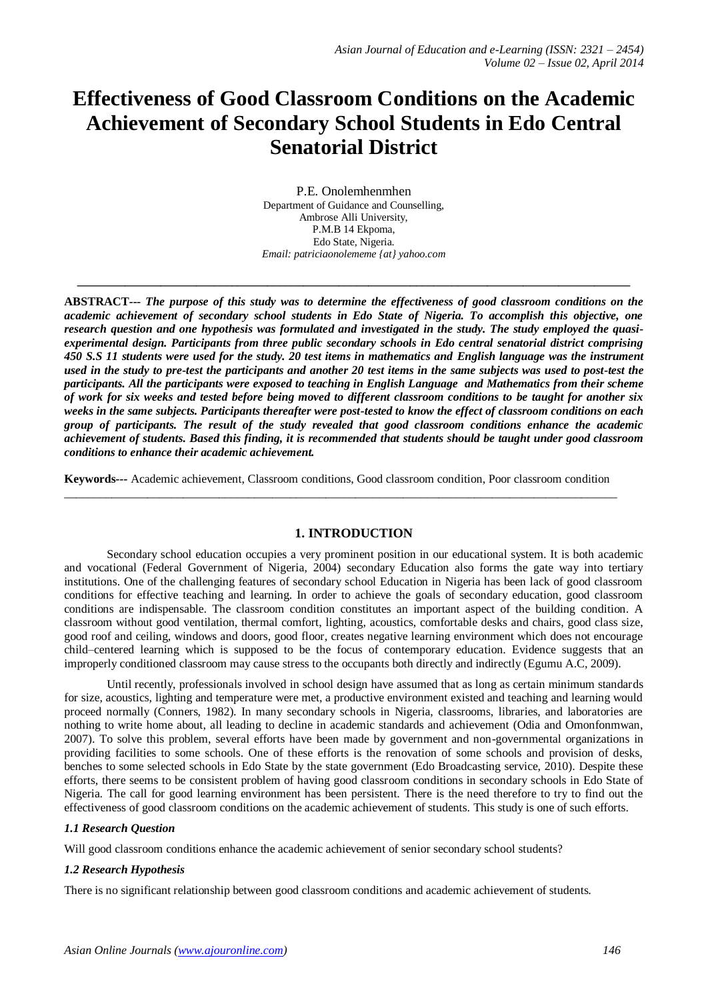# **Effectiveness of Good Classroom Conditions on the Academic Achievement of Secondary School Students in Edo Central Senatorial District**

P.E. Onolemhenmhen Department of Guidance and Counselling, Ambrose Alli University, P.M.B 14 Ekpoma, Edo State, Nigeria. *Email: patriciaonolememe {at} yahoo.com*

**\_\_\_\_\_\_\_\_\_\_\_\_\_\_\_\_\_\_\_\_\_\_\_\_\_\_\_\_\_\_\_\_\_\_\_\_\_\_\_\_\_\_\_\_\_\_\_\_\_\_\_\_\_\_\_\_\_\_\_\_\_\_\_\_\_\_\_\_\_\_\_\_\_\_\_\_\_\_\_\_\_\_\_\_\_\_\_\_\_\_\_\_\_**

**ABSTRACT***--- The purpose of this study was to determine the effectiveness of good classroom conditions on the academic achievement of secondary school students in Edo State of Nigeria. To accomplish this objective, one research question and one hypothesis was formulated and investigated in the study. The study employed the quasiexperimental design. Participants from three public secondary schools in Edo central senatorial district comprising 450 S.S 11 students were used for the study. 20 test items in mathematics and English language was the instrument used in the study to pre-test the participants and another 20 test items in the same subjects was used to post-test the participants. All the participants were exposed to teaching in English Language and Mathematics from their scheme of work for six weeks and tested before being moved to different classroom conditions to be taught for another six weeks in the same subjects. Participants thereafter were post-tested to know the effect of classroom conditions on each group of participants. The result of the study revealed that good classroom conditions enhance the academic achievement of students. Based this finding, it is recommended that students should be taught under good classroom conditions to enhance their academic achievement.*

**Keywords***---* Academic achievement, Classroom conditions, Good classroom condition, Poor classroom condition  $\_$  ,  $\_$  ,  $\_$  ,  $\_$  ,  $\_$  ,  $\_$  ,  $\_$  ,  $\_$  ,  $\_$  ,  $\_$  ,  $\_$  ,  $\_$  ,  $\_$  ,  $\_$  ,  $\_$  ,  $\_$  ,  $\_$  ,  $\_$  ,  $\_$  ,  $\_$  ,  $\_$  ,  $\_$  ,  $\_$  ,  $\_$  ,  $\_$  ,  $\_$  ,  $\_$  ,  $\_$  ,  $\_$  ,  $\_$  ,  $\_$  ,  $\_$  ,  $\_$  ,  $\_$  ,  $\_$  ,  $\_$  ,  $\_$  ,

## **1. INTRODUCTION**

Secondary school education occupies a very prominent position in our educational system. It is both academic and vocational (Federal Government of Nigeria, 2004) secondary Education also forms the gate way into tertiary institutions. One of the challenging features of secondary school Education in Nigeria has been lack of good classroom conditions for effective teaching and learning. In order to achieve the goals of secondary education, good classroom conditions are indispensable. The classroom condition constitutes an important aspect of the building condition. A classroom without good ventilation, thermal comfort, lighting, acoustics, comfortable desks and chairs, good class size, good roof and ceiling, windows and doors, good floor, creates negative learning environment which does not encourage child–centered learning which is supposed to be the focus of contemporary education. Evidence suggests that an improperly conditioned classroom may cause stress to the occupants both directly and indirectly (Egumu A.C, 2009).

Until recently, professionals involved in school design have assumed that as long as certain minimum standards for size, acoustics, lighting and temperature were met, a productive environment existed and teaching and learning would proceed normally (Conners, 1982). In many secondary schools in Nigeria, classrooms, libraries, and laboratories are nothing to write home about, all leading to decline in academic standards and achievement (Odia and Omonfonmwan, 2007). To solve this problem, several efforts have been made by government and non-governmental organizations in providing facilities to some schools. One of these efforts is the renovation of some schools and provision of desks, benches to some selected schools in Edo State by the state government (Edo Broadcasting service, 2010). Despite these efforts, there seems to be consistent problem of having good classroom conditions in secondary schools in Edo State of Nigeria. The call for good learning environment has been persistent. There is the need therefore to try to find out the effectiveness of good classroom conditions on the academic achievement of students. This study is one of such efforts.

# *1.1 Research Question*

Will good classroom conditions enhance the academic achievement of senior secondary school students?

## *1.2 Research Hypothesis*

There is no significant relationship between good classroom conditions and academic achievement of students.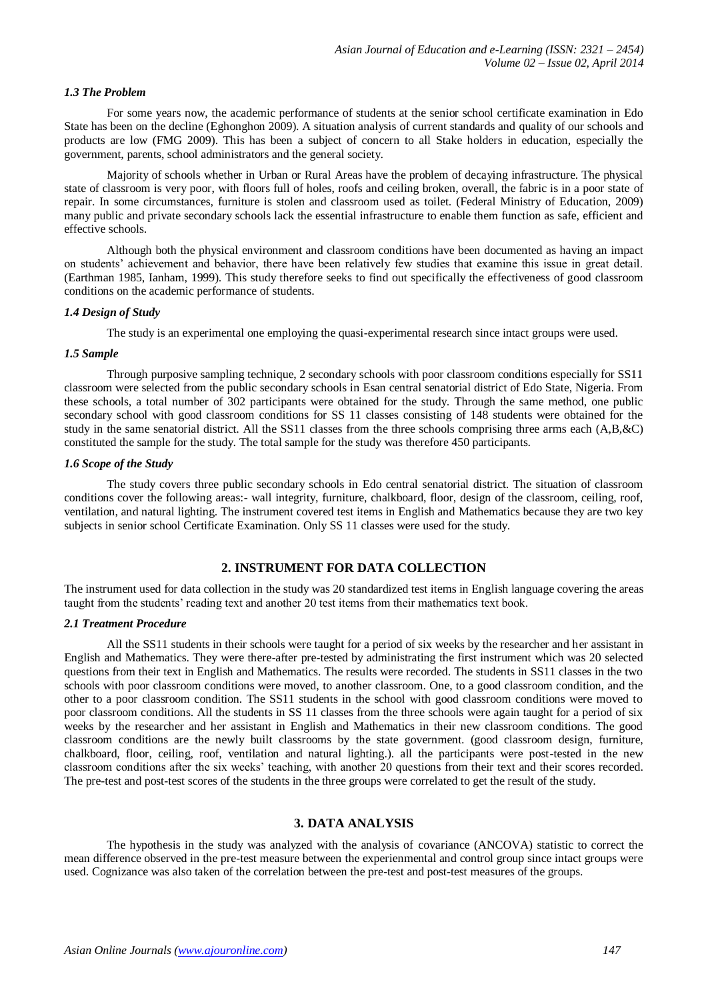#### *1.3 The Problem*

For some years now, the academic performance of students at the senior school certificate examination in Edo State has been on the decline (Eghonghon 2009). A situation analysis of current standards and quality of our schools and products are low (FMG 2009). This has been a subject of concern to all Stake holders in education, especially the government, parents, school administrators and the general society.

Majority of schools whether in Urban or Rural Areas have the problem of decaying infrastructure. The physical state of classroom is very poor, with floors full of holes, roofs and ceiling broken, overall, the fabric is in a poor state of repair. In some circumstances, furniture is stolen and classroom used as toilet. (Federal Ministry of Education, 2009) many public and private secondary schools lack the essential infrastructure to enable them function as safe, efficient and effective schools.

Although both the physical environment and classroom conditions have been documented as having an impact on students' achievement and behavior, there have been relatively few studies that examine this issue in great detail. (Earthman 1985, Ianham, 1999). This study therefore seeks to find out specifically the effectiveness of good classroom conditions on the academic performance of students.

#### *1.4 Design of Study*

The study is an experimental one employing the quasi-experimental research since intact groups were used.

#### *1.5 Sample*

Through purposive sampling technique, 2 secondary schools with poor classroom conditions especially for SS11 classroom were selected from the public secondary schools in Esan central senatorial district of Edo State, Nigeria. From these schools, a total number of 302 participants were obtained for the study. Through the same method, one public secondary school with good classroom conditions for SS 11 classes consisting of 148 students were obtained for the study in the same senatorial district. All the SS11 classes from the three schools comprising three arms each (A,B,&C) constituted the sample for the study. The total sample for the study was therefore 450 participants.

## *1.6 Scope of the Study*

The study covers three public secondary schools in Edo central senatorial district. The situation of classroom conditions cover the following areas:- wall integrity, furniture, chalkboard, floor, design of the classroom, ceiling, roof, ventilation, and natural lighting. The instrument covered test items in English and Mathematics because they are two key subjects in senior school Certificate Examination. Only SS 11 classes were used for the study.

# **2. INSTRUMENT FOR DATA COLLECTION**

The instrument used for data collection in the study was 20 standardized test items in English language covering the areas taught from the students' reading text and another 20 test items from their mathematics text book.

#### *2.1 Treatment Procedure*

All the SS11 students in their schools were taught for a period of six weeks by the researcher and her assistant in English and Mathematics. They were there-after pre-tested by administrating the first instrument which was 20 selected questions from their text in English and Mathematics. The results were recorded. The students in SS11 classes in the two schools with poor classroom conditions were moved, to another classroom. One, to a good classroom condition, and the other to a poor classroom condition. The SS11 students in the school with good classroom conditions were moved to poor classroom conditions. All the students in SS 11 classes from the three schools were again taught for a period of six weeks by the researcher and her assistant in English and Mathematics in their new classroom conditions. The good classroom conditions are the newly built classrooms by the state government. (good classroom design, furniture, chalkboard, floor, ceiling, roof, ventilation and natural lighting.). all the participants were post-tested in the new classroom conditions after the six weeks' teaching, with another 20 questions from their text and their scores recorded. The pre-test and post-test scores of the students in the three groups were correlated to get the result of the study.

#### **3. DATA ANALYSIS**

The hypothesis in the study was analyzed with the analysis of covariance (ANCOVA) statistic to correct the mean difference observed in the pre-test measure between the experienmental and control group since intact groups were used. Cognizance was also taken of the correlation between the pre-test and post-test measures of the groups.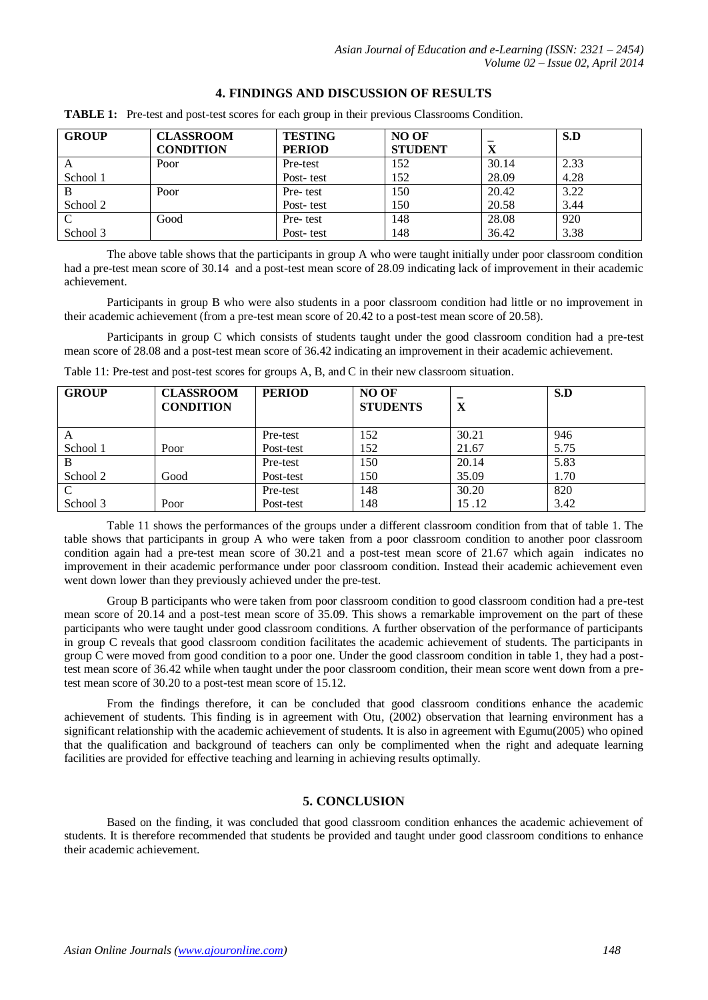# **4. FINDINGS AND DISCUSSION OF RESULTS**

| <b>GROUP</b> | <b>CLASSROOM</b> | <b>TESTING</b> | <b>NO OF</b>   |       | S.D  |
|--------------|------------------|----------------|----------------|-------|------|
|              | <b>CONDITION</b> | <b>PERIOD</b>  | <b>STUDENT</b> | X     |      |
| A            | Poor             | Pre-test       | 152            | 30.14 | 2.33 |
| School 1     |                  | Post-test      | 152            | 28.09 | 4.28 |
| B            | Poor             | Pre-test       | 150            | 20.42 | 3.22 |
| School 2     |                  | Post-test      | 150            | 20.58 | 3.44 |
| C            | Good             | Pre-test       | 148            | 28.08 | 920  |
| School 3     |                  | Post-test      | 148            | 36.42 | 3.38 |

**TABLE 1:** Pre-test and post-test scores for each group in their previous Classrooms Condition.

The above table shows that the participants in group A who were taught initially under poor classroom condition had a pre-test mean score of 30.14 and a post-test mean score of 28.09 indicating lack of improvement in their academic achievement.

Participants in group B who were also students in a poor classroom condition had little or no improvement in their academic achievement (from a pre-test mean score of 20.42 to a post-test mean score of 20.58).

Participants in group C which consists of students taught under the good classroom condition had a pre-test mean score of 28.08 and a post-test mean score of 36.42 indicating an improvement in their academic achievement.

| <b>GROUP</b>  | <b>CLASSROOM</b><br><b>CONDITION</b> | <b>PERIOD</b> | <b>NO OF</b><br><b>STUDENTS</b> | $\mathbf{x}$<br>A | S.D  |
|---------------|--------------------------------------|---------------|---------------------------------|-------------------|------|
| A             |                                      | Pre-test      | 152                             | 30.21             | 946  |
| School 1      | Poor                                 | Post-test     | 152                             | 21.67             | 5.75 |
| B             |                                      | Pre-test      | 150                             | 20.14             | 5.83 |
| School 2      | Good                                 | Post-test     | 150                             | 35.09             | 1.70 |
| $\mathcal{C}$ |                                      | Pre-test      | 148                             | 30.20             | 820  |
| School 3      | Poor                                 | Post-test     | 148                             | 15.12             | 3.42 |

Table 11: Pre-test and post-test scores for groups A, B, and C in their new classroom situation.

Table 11 shows the performances of the groups under a different classroom condition from that of table 1. The table shows that participants in group A who were taken from a poor classroom condition to another poor classroom condition again had a pre-test mean score of 30.21 and a post-test mean score of 21.67 which again indicates no improvement in their academic performance under poor classroom condition. Instead their academic achievement even went down lower than they previously achieved under the pre-test.

Group B participants who were taken from poor classroom condition to good classroom condition had a pre-test mean score of 20.14 and a post-test mean score of 35.09. This shows a remarkable improvement on the part of these participants who were taught under good classroom conditions. A further observation of the performance of participants in group C reveals that good classroom condition facilitates the academic achievement of students. The participants in group C were moved from good condition to a poor one. Under the good classroom condition in table 1, they had a posttest mean score of 36.42 while when taught under the poor classroom condition, their mean score went down from a pretest mean score of 30.20 to a post-test mean score of 15.12.

From the findings therefore, it can be concluded that good classroom conditions enhance the academic achievement of students. This finding is in agreement with Otu, (2002) observation that learning environment has a significant relationship with the academic achievement of students. It is also in agreement with Egumu(2005) who opined that the qualification and background of teachers can only be complimented when the right and adequate learning facilities are provided for effective teaching and learning in achieving results optimally.

# **5. CONCLUSION**

Based on the finding, it was concluded that good classroom condition enhances the academic achievement of students. It is therefore recommended that students be provided and taught under good classroom conditions to enhance their academic achievement.